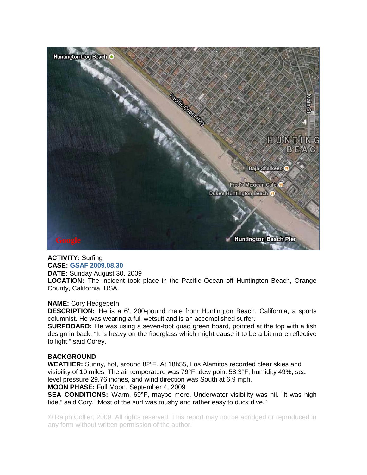

## **ACTIVITY:** Surfing **CASE: GSAF 2009.08.30 DATE:** Sunday August 30, 2009

**LOCATION:** The incident took place in the Pacific Ocean off Huntington Beach, Orange County, California, USA.

## **NAME:** Cory Hedgepeth

**DESCRIPTION:** He is a 6', 200-pound male from Huntington Beach, California, a sports columnist. He was wearing a full wetsuit and is an accomplished surfer.

**SURFBOARD:** He was using a seven-foot quad green board, pointed at the top with a fish design in back. "It is heavy on the fiberglass which might cause it to be a bit more reflective to light," said Corey.

## **BACKGROUND**

**WEATHER:** Sunny, hot, around 82ºF. At 18h55, Los Alamitos recorded clear skies and visibility of 10 miles. The air temperature was 79°F, dew point 58.3°F, humidity 49%, sea level pressure 29.76 inches, and wind direction was South at 6.9 mph.

## **MOON PHASE:** Full Moon, September 4, 2009

**SEA CONDITIONS:** Warm, 69°F, maybe more. Underwater visibility was nil. "It was high tide," said Cory. "Most of the surf was mushy and rather easy to duck dive."

© Ralph Collier, 2009. All rights reserved. This report may not be abridged or reproduced in any form without written permission of the author.